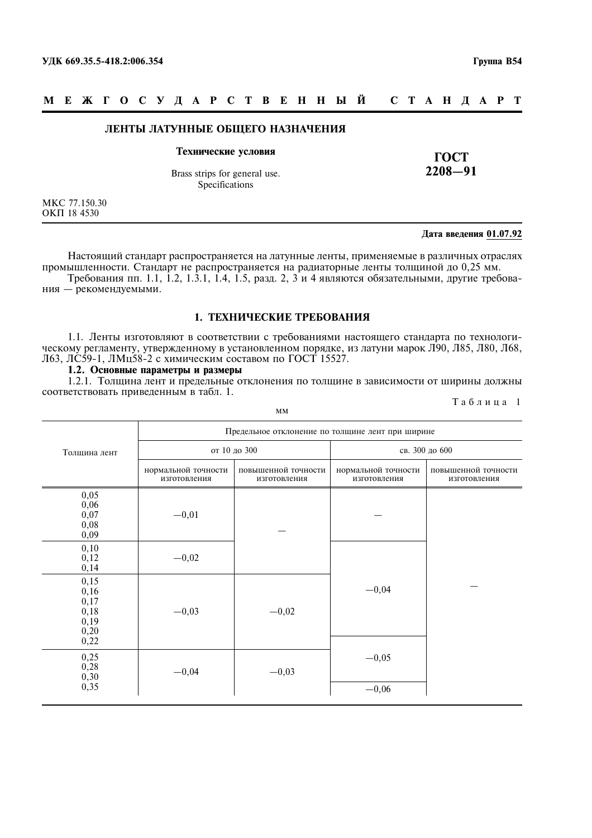#### M E **X T O C Y J A P C T B E H H Ы Й** C T A H  $\parallel$  A P T

#### ЛЕНТЫ ЛАТУННЫЕ ОБЩЕГО НАЗНАЧЕНИЯ

#### Технические условия

Brass strips for general use. Specifications

MKC 77.150.30 **ОКП 18 4530** 

#### Дата введения 01.07.92

ГОСТ  $2208 - 91$ 

Настоящий стандарт распространяется на латунные ленты, применяемые в различных отраслях промышленности. Стандарт не распространяется на радиаторные ленты толщиной до 0,25 мм. Требования пп. 1.1, 1.2, 1.3.1, 1.4, 1.5, разд. 2, 3 и 4 являются обязательными, другие требования - рекомендуемыми.

## 1. ТЕХНИЧЕСКИЕ ТРЕБОВАНИЯ

1.1. Ленты изготовляют в соответствии с требованиями настоящего стандарта по технологическому регламенту, утвержденному в установленном порядке, из латуни марок Л90, Л85, Л80, Л68, Л63, ЛС59-1, ЛМц58-2 с химическим составом по ГОСТ 15527.

#### 1.2. Основные параметры и размеры

1.2.1. Толщина лент и предельные отклонения по толщине в зависимости от ширины должны соответствовать приведенным в табл. 1.

|                                                                     |                                     | MM                                               |                                     | таолица т                           |
|---------------------------------------------------------------------|-------------------------------------|--------------------------------------------------|-------------------------------------|-------------------------------------|
|                                                                     |                                     | Предельное отклонение по толщине лент при ширине |                                     |                                     |
| Толщина лент                                                        |                                     | от 10 до 300                                     |                                     | св. 300 до 600                      |
|                                                                     | нормальной точности<br>изготовления | повышенной точности<br>изготовления              | нормальной точности<br>изготовления | повышенной точности<br>изготовления |
| $\begin{array}{c} 0,05 \\ 0,06 \\ 0,07 \end{array}$<br>0,08<br>0,09 | $-0,01$                             |                                                  |                                     |                                     |
| 0,10<br>0,12<br>0,14                                                | $-0,02$                             |                                                  |                                     |                                     |
| $\substack{0,15 \\ 0,16}$<br>0,17<br>$0,18$<br>$0,19$<br>0,20       | $-0,03$                             | $-0,02$                                          | $-0,04$                             |                                     |
| 0,22<br>$0,25$<br>$0,28$<br>$0,30$<br>$0,35$                        | $-0,04$                             | $-0,03$                                          | $-0,05$                             |                                     |
|                                                                     |                                     |                                                  | $-0,06$                             |                                     |

 $T_{0}$   $\epsilon$  r w  $\alpha$  1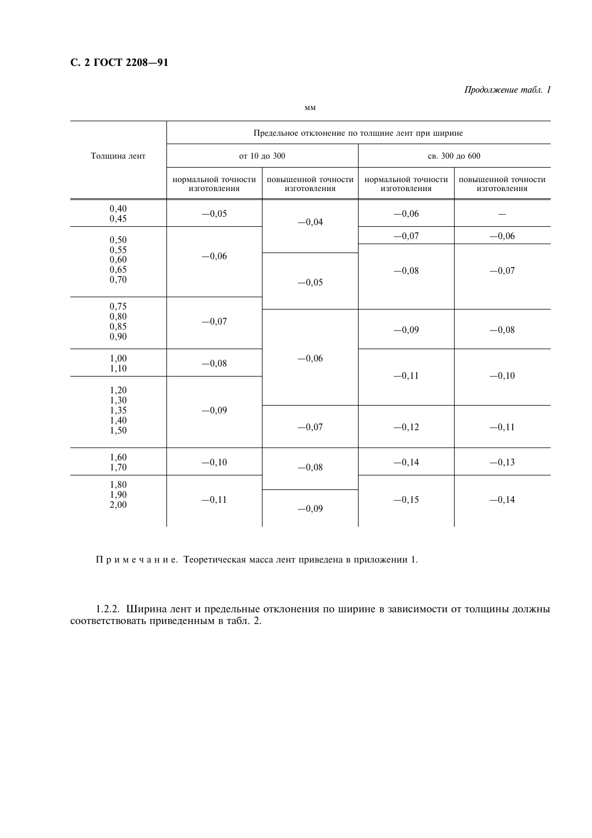Продолжение табл. 1

|                                    |                                     | Предельное отклонение по толщине лент при ширине |                                     |                                     |
|------------------------------------|-------------------------------------|--------------------------------------------------|-------------------------------------|-------------------------------------|
| Толщина лент                       |                                     | от 10 до 300                                     |                                     | св. 300 до 600                      |
|                                    | нормальной точности<br>изготовления | повышенной точности<br>изготовления              | нормальной точности<br>изготовления | повышенной точности<br>изготовления |
| 0,40<br>0,45                       | $-0,05$                             | $-0,04$                                          | $-0,06$                             |                                     |
| 0,50                               |                                     |                                                  | $-0,07$                             | $-0,06$                             |
| $0,55$<br>$0,60$<br>0,65<br>0,70   | $-0,06$                             | $-0,05$                                          | $-0,08$                             | $-0,07$                             |
| 0,75<br>0,80<br>0,85<br>0,90       | $-0,07$                             |                                                  | $-0,09$                             | $-0,08$                             |
| 1,00<br>1,10                       | $-0,08$                             | $-0,06$                                          | $-0,11$                             | $-0,10$                             |
| 1,20                               |                                     |                                                  |                                     |                                     |
| $1,30$<br>$1,35$<br>$1,40$<br>1,50 | $-0,09$                             | $-0,07$                                          | $-0,12$                             | $-0,11$                             |
| 1,60<br>1,70                       | $-0,10$                             | $-0,08$                                          | $-0,14$                             | $-0,13$                             |
| 1,80<br>1,90<br>2,00               | $-0,11$                             | $-0,09$                                          | $-0,15$                             | $-0,14$                             |

Примечание. Теоретическая масса лент приведена в приложении 1.

1.2.2. Ширина лент и предельные отклонения по ширине в зависимости от толщины должны соответствовать приведенным в табл. 2.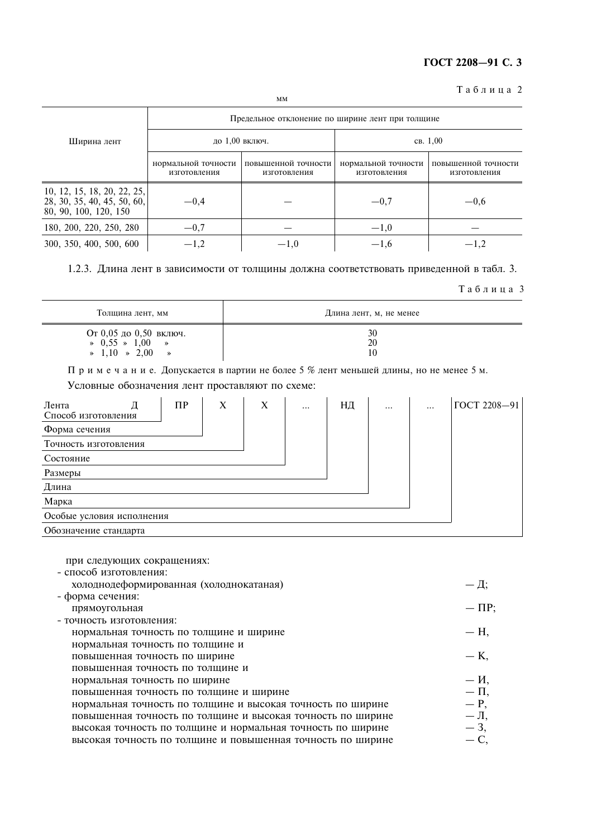Таблица 2

|                                                                                     |                                     | MM                                               |                                     |                                     |
|-------------------------------------------------------------------------------------|-------------------------------------|--------------------------------------------------|-------------------------------------|-------------------------------------|
|                                                                                     |                                     | Предельное отклонение по ширине лент при толщине |                                     |                                     |
| Ширина лент                                                                         |                                     | до 1,00 включ.                                   |                                     | CB. 1,00                            |
|                                                                                     | нормальной точности<br>изготовления | повышенной точности<br>изготовления              | нормальной точности<br>изготовления | повышенной точности<br>изготовления |
| 10, 12, 15, 18, 20, 22, 25,<br>28, 30, 35, 40, 45, 50, 60,<br>80, 90, 100, 120, 150 | $-0.4$                              |                                                  | $-0.7$                              | $-0,6$                              |
| 180, 200, 220, 250, 280                                                             | $-0,7$                              |                                                  | $-1,0$                              |                                     |
| 300, 350, 400, 500, 600                                                             | $-1,2$                              | $-1,0$                                           | $-1,6$                              | $-1,2$                              |

1.2.3. Длина лент в зависимости от толщины должна соответствовать приведенной в табл. 3.

#### Таблица 3

 $-\Delta$ ;

 $-\Pi P;$ 

| Толщина лент, мм                                                                                | Длина лент, м, не менее |
|-------------------------------------------------------------------------------------------------|-------------------------|
| От 0,05 до 0,50 включ.<br>$9,55 \times 1,00$<br>$\rightarrow$<br>$\ast$ 1,10 $\ast$ 2,00 $\ast$ | 30<br>20<br>10          |

Примечание. Допускается в партии не более 5 % лент меньшей длины, но не менее 5 м.

Условные обозначения лент проставляют по схеме:

| Лента<br>Д<br>Способ изготовления | $\Pi$ P | X | X | $\cdots$ | НД | $\cdots$ | $\ddotsc$ | ГОСТ 2208-91 |
|-----------------------------------|---------|---|---|----------|----|----------|-----------|--------------|
| Форма сечения                     |         |   |   |          |    |          |           |              |
| Точность изготовления             |         |   |   |          |    |          |           |              |
| Состояние                         |         |   |   |          |    |          |           |              |
| Размеры                           |         |   |   |          |    |          |           |              |
| Длина                             |         |   |   |          |    |          |           |              |
| Марка                             |         |   |   |          |    |          |           |              |
| Особые условия исполнения         |         |   |   |          |    |          |           |              |
| Обозначение стандарта             |         |   |   |          |    |          |           |              |

при следующих сокращениях:

| - способ изготовления:                  |  |
|-----------------------------------------|--|
| холоднодеформированная (холоднокатаная) |  |

- форма сечения: прямоугольная - точность изготовления:

| нормальная точность по толщине и ширине                     | — H,     |
|-------------------------------------------------------------|----------|
| нормальная точность по толщине и                            |          |
| повышенная точность по ширине                               | $-$ K,   |
| повышенная точность по толщине и                            |          |
| нормальная точность по ширине                               | $ M$ ,   |
| повышенная точность по толщине и ширине                     | $-\Pi$ , |
| нормальная точность по толщине и высокая точность по ширине | $- P$ ,  |
| повышенная точность по толщине и высокая точность по ширине | $-\Pi$ , |
| высокая точность по толщине и нормальная точность по ширине | $-3,$    |
| высокая точность по толщине и повышенная точность по ширине |          |
|                                                             |          |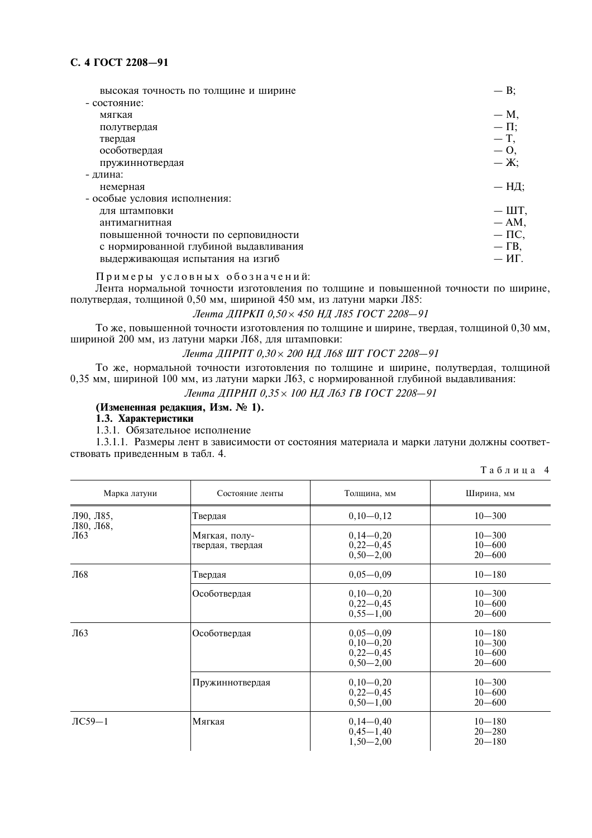## C. 4 FOCT 2208-91

| высокая точность по толщине и ширине  | $- B$ ;       |
|---------------------------------------|---------------|
| - состояние:                          |               |
| мягкая                                | $-M$ ,        |
| полутвердая                           | $-\Pi$ ;      |
| твердая                               | $-$ T,        |
| особотвердая                          | $-0,$         |
| пружиннотвердая                       | $-\mathbf{X}$ |
| - длина:                              |               |
| немерная                              | — НД;         |
| - особые условия исполнения:          |               |
| для штамповки                         | $ \text{IIT}$ |
| антимагнитная                         | $- AM$        |
| повышенной точности по серповидности  | $-\Pi C$      |
| с нормированной глубиной выдавливания | $-\Gamma B$ , |
| выдерживающая испытания на изгиб      | — ИГ.         |
|                                       |               |

Примеры условных обозначений:

Лента нормальной точности изготовления по толщине и повышенной точности по ширине, полутвердая, толщиной 0,50 мм, шириной 450 мм, из латуни марки Л85:

Лента ЛПРКП 0.50 × 450 НЛ Л85 ГОСТ 2208-91

То же, повышенной точности изготовления по толщине и ширине, твердая, толщиной 0,30 мм, шириной 200 мм, из латуни марки Л68, для штамповки:

Лента ДПРПТ 0,30 × 200 НД Л68 ШТ ГОСТ 2208-91

То же, нормальной точности изготовления по толшине и ширине, полутвердая, толшиной 0,35 мм, шириной 100 мм, из латуни марки Л63, с нормированной глубиной выдавливания:

Лента ДПРНП 0,35 × 100 НД Л63 ГВ ГОСТ 2208-91

### (Измененная редакция, Изм. № 1).

1.3. Характеристики

1.3.1. Обязательное исполнение

1.3.1.1. Размеры лент в зависимости от состояния материала и марки латуни должны соответствовать приведенным в табл. 4.

|  |  |  | Таблица 4 |
|--|--|--|-----------|
|  |  |  |           |

| Марка латуни     | Состояние ленты                   | Толщина, мм                                                  | Ширина, мм                                           |
|------------------|-----------------------------------|--------------------------------------------------------------|------------------------------------------------------|
| Л90, Л85,        | Твердая                           | $0,10-0,12$                                                  | $10 - 300$                                           |
| Л80, Л68,<br>Л63 | Мягкая, полу-<br>твердая, твердая | $0,14-0,20$<br>$0,22-0,45$<br>$0,50 - 2,00$                  | $10 - 300$<br>$10 - 600$<br>$20 - 600$               |
| Л68              | Твердая                           | $0,05-0,09$                                                  | $10 - 180$                                           |
|                  | Особотвердая                      | $0,10-0,20$<br>$0,22-0,45$<br>$0,55 - 1,00$                  | $10 - 300$<br>$10 - 600$<br>$20 - 600$               |
| Л63              | Особотвердая                      | $0,05-0,09$<br>$0,10-0,20$<br>$0,22 - 0,45$<br>$0,50 - 2,00$ | $10 - 180$<br>$10 - 300$<br>$10 - 600$<br>$20 - 600$ |
|                  | Пружиннотвердая                   | $0,10-0,20$<br>$0,22 - 0,45$<br>$0,50-1,00$                  | $10 - 300$<br>$10 - 600$<br>$20 - 600$               |
| $\text{IC}59-1$  | Мягкая                            | $0,14-0,40$<br>$0,45 - 1,40$<br>$1,50 - 2,00$                | $10 - 180$<br>$20 - 280$<br>$20 - 180$               |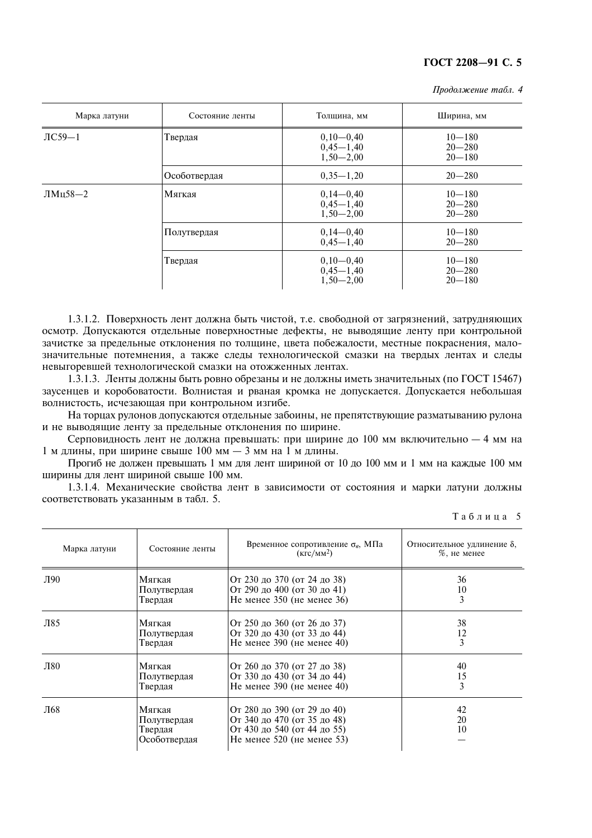| Продолжение табл. 4 |
|---------------------|
|---------------------|

| Марка латуни    | Состояние ленты | Толщина, мм                                   | Ширина, мм                             |
|-----------------|-----------------|-----------------------------------------------|----------------------------------------|
| $\text{IC}59-1$ | Твердая         | $0,10-0,40$<br>$0,45 - 1,40$<br>$1,50 - 2,00$ | $10 - 180$<br>$20 - 280$<br>$20 - 180$ |
|                 | Особотвердая    | $0,35-1,20$                                   | $20 - 280$                             |
| $JIMII58-2$     | Мягкая          | $0,14-0,40$<br>$0,45 - 1,40$<br>$1,50 - 2,00$ | $10 - 180$<br>$20 - 280$<br>$20 - 280$ |
|                 | Полутвердая     | $0,14-0,40$<br>$0,45 - 1,40$                  | $10 - 180$<br>$20 - 280$               |
|                 | Твердая         | $0,10-0,40$<br>$0,45 - 1,40$<br>$1,50 - 2,00$ | $10 - 180$<br>$20 - 280$<br>$20 - 180$ |

1.3.1.2. Поверхность лент должна быть чистой, т.е. свободной от загрязнений, затрудняющих осмотр. Допускаются отдельные поверхностные дефекты, не выводящие ленту при контрольной зачистке за предельные отклонения по толщине, цвета побежалости, местные покраснения, малозначительные потемнения, а также следы технологической смазки на твердых лентах и следы невыгоревшей технологической смазки на отожженных лентах.

1.3.1.3. Ленты должны быть ровно обрезаны и не должны иметь значительных (по ГОСТ 15467) заусенцев и коробоватости. Волнистая и рваная кромка не допускается. Допускается небольшая волнистость, исчезающая при контрольном изгибе.

На торцах рулонов допускаются отдельные забоины, не препятствующие разматыванию рулона и не выводящие ленту за предельные отклонения по ширине.

Серповидность лент не должна превышать: при ширине до 100 мм включительно - 4 мм на 1 м длины, при ширине свыше 100 мм - 3 мм на 1 м длины.

Прогиб не должен превышать 1 мм для лент шириной от 10 до 100 мм и 1 мм на каждые 100 мм ширины лля лент шириной свыше 100 мм.

1.3.1.4. Механические свойства лент в зависимости от состояния и марки латуни должны соответствовать указанным в табл. 5.

| Таблица 5 |  |  |  |
|-----------|--|--|--|
|           |  |  |  |

| Марка латуни | Состояние ленты                                  | Временное сопротивление $\sigma_{\theta}$ , МПа<br>$(KTC/MM^2)$                                                         | Относительное удлинение $\delta$ ,<br>$%$ , не менее |
|--------------|--------------------------------------------------|-------------------------------------------------------------------------------------------------------------------------|------------------------------------------------------|
| Л90          | Мягкая                                           | От 230 до 370 (от 24 до 38)                                                                                             | 36                                                   |
|              | Полутвердая                                      | От 290 до 400 (от 30 до 41)                                                                                             | 10                                                   |
|              | Твердая                                          | Не менее $350$ (не менее $36$ )                                                                                         | 3                                                    |
| Л85          | Мягкая                                           | От 250 до 360 (от 26 до 37)                                                                                             | 38                                                   |
|              | Полутвердая                                      | От 320 до 430 (от 33 до 44)                                                                                             | 12                                                   |
|              | Твердая                                          | Не менее $390$ (не менее $40$ )                                                                                         | 3                                                    |
| Л80          | Мягкая                                           | От 260 до 370 (от 27 до 38)                                                                                             | 40                                                   |
|              | Полутвердая                                      | От 330 до 430 (от 34 до 44)                                                                                             | 15                                                   |
|              | Твердая                                          | Не менее $390$ (не менее $40$ )                                                                                         | 3                                                    |
| Л68          | Мягкая<br>Полутвердая<br>Твердая<br>Особотвердая | От 280 до 390 (от 29 до 40)<br>От 340 до 470 (от 35 до 48)<br>От 430 до 540 (от 44 до 55)<br>Не менее 520 (не менее 53) | 42<br>20<br>10                                       |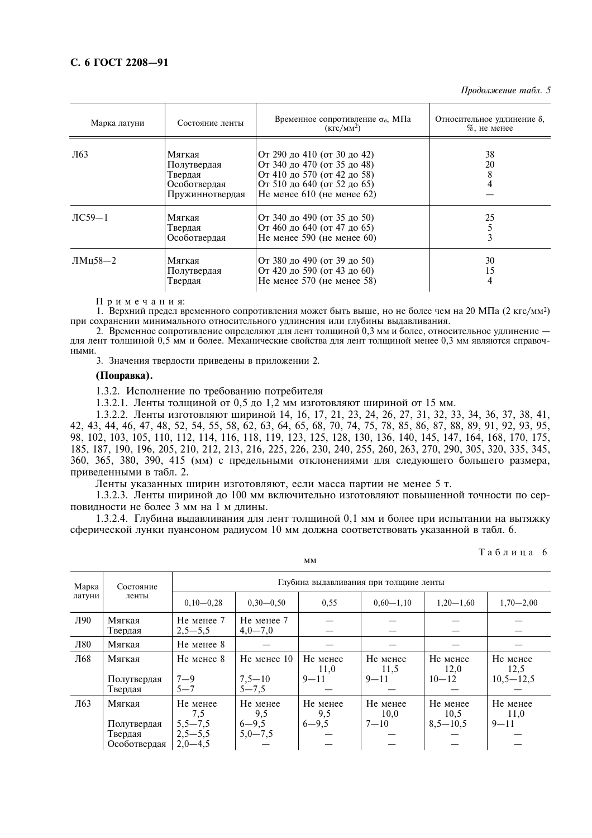Продолжение табл. 5

| Марка латуни        | Состояние ленты                                                     | Временное сопротивление $\sigma_{\theta}$ , МПа<br>(KFC/MM <sup>2</sup> )                                                                                   | Относительное удлинение $\delta$ ,<br>$%$ , не менее |
|---------------------|---------------------------------------------------------------------|-------------------------------------------------------------------------------------------------------------------------------------------------------------|------------------------------------------------------|
| Л63                 | Мягкая<br>Полутвердая<br>Твердая<br>Особотвердая<br>Пружиннотвердая | От 290 до 410 (от 30 до 42)<br>От 340 до 470 (от 35 до 48)<br>От 410 до 570 (от 42 до 58)<br>От 510 до 640 (от 52 до 65)<br>Не менее $610$ (не менее $62$ ) | 38<br>20                                             |
| $\text{J}$ C59 $-1$ | Мягкая<br>Твердая<br>Особотвердая                                   | От 340 до 490 (от 35 до 50)<br>От 460 до 640 (от 47 до 65)<br>Не менее $590$ (не менее $60$ )                                                               | 25<br>3                                              |
| $J1MH58-2$          | Мягкая<br>Полутвердая<br>Твердая                                    | От 380 до 490 (от 39 до 50)<br>От 420 до 590 (от 43 до 60)<br>Не менее $570$ (не менее $58$ )                                                               | 30<br>15<br>4                                        |

Примечания:

1. Верхний предел временного сопротивления может быть выше, но не более чем на 20 МПа (2 кгс/мм<sup>2</sup>) при сохранении минимального относительного удлинения или глубины выдавливания.

2. Временное сопротивление определяют для лент толщиной 0,3 мм и более, относительное удлинение для лент толщиной 0,5 мм и более. Механические свойства для лент толщиной менее 0,3 мм являются справочными

3. Значения твердости приведены в приложении 2.

#### (Поправка).

1.3.2. Исполнение по требованию потребителя

1.3.2.1. Ленты толщиной от 0,5 до 1,2 мм изготовляют шириной от 15 мм.

1.3.2.2. Ленты изготовляют шириной 14, 16, 17, 21, 23, 24, 26, 27, 31, 32, 33, 34, 36, 37, 38, 41, 42, 43, 44, 46, 47, 48, 52, 54, 55, 58, 62, 63, 64, 65, 68, 70, 74, 75, 78, 85, 86, 87, 88, 89, 91, 92, 93, 95, 98, 102, 103, 105, 110, 112, 114, 116, 118, 119, 123, 125, 128, 130, 136, 140, 145, 147, 164, 168, 170, 175, 185, 187, 190, 196, 205, 210, 212, 213, 216, 225, 226, 230, 240, 255, 260, 263, 270, 290, 305, 320, 335, 345, 360, 365, 380, 390, 415 (мм) с предельными отклонениями для следующего большего размера, приведенными в табл. 2.

Ленты указанных ширин изготовляют, если масса партии не менее 5 т.

1.3.2.3. Ленты шириной до 100 мм включительно изготовляют повышенной точности по серповидности не более 3 мм на 1 м длины.

1.3.2.4. Глубина выдавливания для лент толщиной 0,1 мм и более при испытании на вытяжку сферической лунки пуансоном радиусом 10 мм должна соответствовать указанной в табл. 6.

| Марка  | Состояние                              | Глубина выдавливания при толщине ленты |                         |                  |                  |                  |                  |  |
|--------|----------------------------------------|----------------------------------------|-------------------------|------------------|------------------|------------------|------------------|--|
| латуни | ленты                                  | $0,10-0,28$                            | $0,30-0,50$             | 0.55             | $0,60-1,10$      | $1,20-1,60$      | $1,70 - 2,00$    |  |
| Л90    | Мягкая<br>Твердая                      | Не менее 7<br>$2,5 - 5,5$              | Не менее 7<br>$4,0-7,0$ |                  |                  |                  |                  |  |
| Л80    | Мягкая                                 | Не менее 8                             |                         |                  |                  |                  |                  |  |
| Л68    | Мягкая                                 | Не менее 8                             | He менее 10             | Не менее<br>11,0 | Не менее<br>11,5 | Не менее<br>12,0 | Не менее<br>12.5 |  |
|        | Полутвердая<br>Твердая                 | $7 - 9$<br>$5 - 7$                     | $7,5 - 10$<br>$5 - 7.5$ | $9 - 11$         | $9 - 11$         | $10 - 12$        | $10,5 - 12,5$    |  |
| Л63    | Мягкая                                 | Не менее<br>7,5                        | Не менее<br>9,5         | Не менее<br>9,5  | Не менее<br>10,0 | Не менее<br>10,5 | Не менее<br>11,0 |  |
|        | Полутвердая<br>Твердая<br>Особотвердая | $5,5 - 7,5$<br>$2,5-5,5$<br>$2,0-4,5$  | $6 - 9,5$<br>$5,0-7,5$  | $6 - 9,5$        | $7 - 10$         | $8,5 - 10,5$     | $9 - 11$         |  |

 $MM$ 

Таблина 6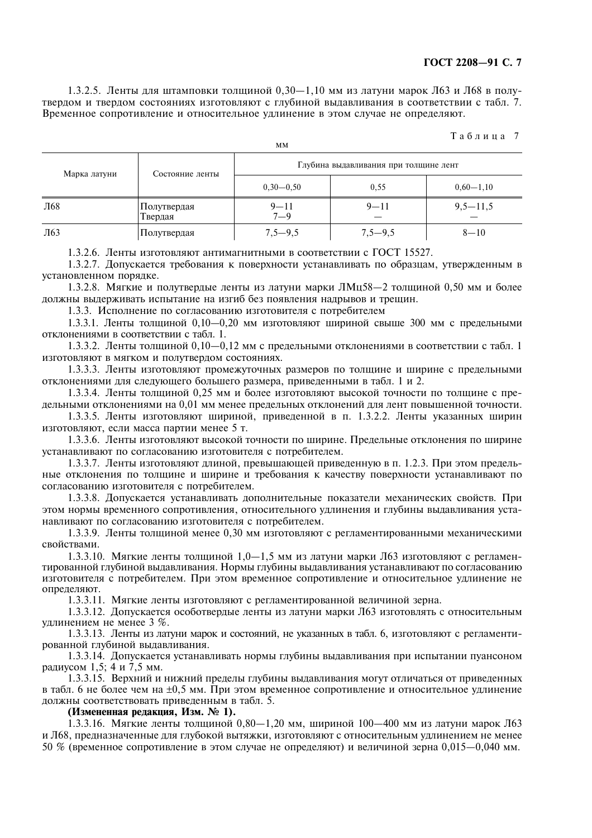1.3.2.5. Ленты для штамповки толщиной 0,30-1,10 мм из латуни марок Л63 и Л68 в полутвердом и твердом состояниях изготовляют с глубиной выдавливания в соответствии с табл. 7. Временное сопротивление и относительное удлинение в этом случае не определяют.

**MM** 

#### Таблица 7

| Марка латуни | Состояние ленты        | Глубина выдавливания при толщине лент |             |             |  |
|--------------|------------------------|---------------------------------------|-------------|-------------|--|
|              |                        | $0,30-0,50$                           | 0,55        | $0,60-1,10$ |  |
| Л68          | Полутвердая<br>Твердая | $9 - 11$<br>$7 - 9$                   | $9 - 11$    | $9,5-11,5$  |  |
| Л63          | Полутвердая            | $7,5-9,5$                             | $7,5 - 9,5$ | $8 - 10$    |  |

1.3.2.6. Ленты изготовляют антимагнитными в соответствии с ГОСТ 15527.

1.3.2.7. Допускается требования к поверхности устанавливать по образцам, утвержденным в установленном порядке.

1.3.2.8. Мягкие и полутвердые ленты из латуни марки ЛМц58-2 толщиной 0.50 мм и более должны выдерживать испытание на изгиб без появления надрывов и трещин.

1.3.3. Исполнение по согласованию изготовителя с потребителем

1.3.3.1. Ленты толщиной 0,10-0,20 мм изготовляют шириной свыше 300 мм с предельными отклонениями в соответствии с табл. 1.

1.3.3.2. Ленты толщиной 0,10-0,12 мм с предельными отклонениями в соответствии с табл. 1 ИЗГОТОВЛЯЮТ В МЯГКОМ И ПОЛУТВЕРДОМ СОСТОЯНИЯХ.

1.3.3.3. Ленты изготовляют промежуточных размеров по толщине и ширине с предельными отклонениями для следующего большего размера, приведенными в табл. 1 и 2.

1.3.3.4. Ленты толщиной 0,25 мм и более изготовляют высокой точности по толщине с предельными отклонениями на 0.01 мм менее предельных отклонений для лент повышенной точности.

1.3.3.5. Ленты изготовляют шириной, приведенной в п. 1.3.2.2. Ленты указанных ширин изготовляют, если масса партии менее 5 т.

1.3.3.6. Ленты изготовляют высокой точности по ширине. Предельные отклонения по ширине устанавливают по согласованию изготовителя с потребителем.

1.3.3.7. Ленты изготовляют длиной, превышающей приведенную в п. 1.2.3. При этом предельные отклонения по толшине и ширине и требования к качеству поверхности устанавливают по согласованию изготовителя с потребителем.

1.3.3.8. Допускается устанавливать дополнительные показатели механических свойств. При этом нормы временного сопротивления, относительного удлинения и глубины выдавливания устанавливают по согласованию изготовителя с потребителем.

1.3.3.9. Ленты толщиной менее 0.30 мм изготовляют с регламентированными механическими свойствами.

1.3.3.10. Мягкие ленты толщиной 1,0-1,5 мм из латуни марки Л63 изготовляют с регламентированной глубиной выдавливания. Нормы глубины выдавливания устанавливают по согласованию изготовителя с потребителем. При этом временное сопротивление и относительное удлинение не определяют.

1.3.3.11. Мягкие ленты изготовляют с регламентированной величиной зерна.

1.3.3.12. Допускается особотвердые ленты из латуни марки Л63 изготовлять с относительным удлинением не менее 3 %.

1.3.3.13. Ленты из латуни марок и состояний, не указанных в табл. 6, изготовляют с регламентированной глубиной выдавливания.

1.3.3.14. Допускается устанавливать нормы глубины выдавливания при испытании пуансоном радиусом 1,5; 4 и 7,5 мм.

1.3.3.15. Верхний и нижний пределы глубины выдавливания могут отличаться от приведенных в табл. 6 не более чем на  $\pm 0.5$  мм. При этом временное сопротивление и относительное удлинение должны соответствовать приведенным в табл. 5.

#### (Измененная редакция, Изм. № 1).

1.3.3.16. Мягкие ленты толщиной 0,80-1,20 мм, шириной 100-400 мм из латуни марок Л63 и Л68, предназначенные для глубокой вытяжки, изготовляют с относительным удлинением не менее 50 % (временное сопротивление в этом случае не определяют) и величиной зерна 0,015-0,040 мм.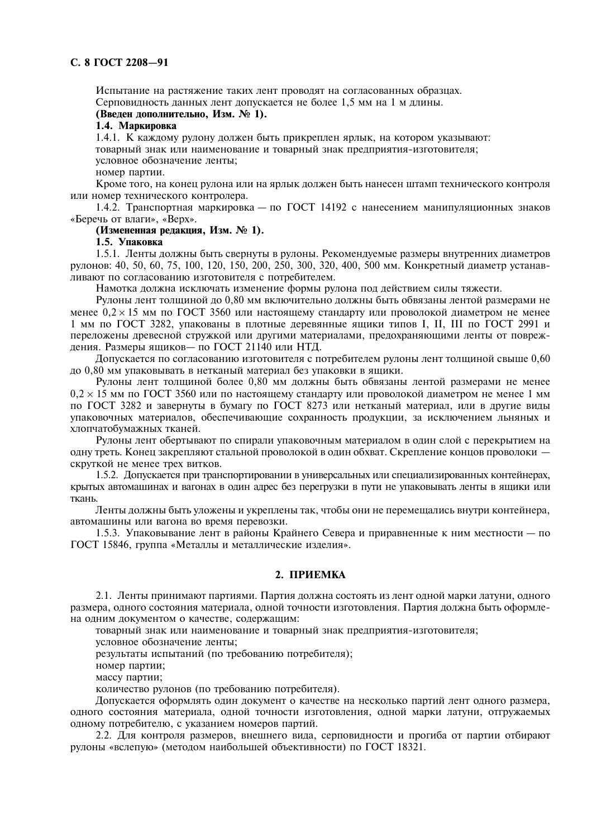#### C. 8 FOCT 2208-91

Испытание на растяжение таких лент проводят на согласованных образцах. Серповидность данных лент допускается не более 1,5 мм на 1 м длины.

## (Введен дополнительно, Изм. № 1).

#### 1.4. Маркировка

1.4.1. К кажлому рулону лолжен быть прикреплен ярлык, на котором указывают: товарный знак или наименование и товарный знак предприятия-изготовителя: условное обозначение ленты;

номер партии.

Кроме того, на конец рулона или на ярлык должен быть нанесен штамп технического контроля или номер технического контролера.

1.4.2. Транспортная маркировка - по ГОСТ 14192 с нанесением манипуляционных знаков «Беречь от влаги», «Верх».

## (Измененная редакция, Изм. № 1).

#### 1.5. Упаковка

1.5.1. Ленты должны быть свернуты в рулоны. Рекомендуемые размеры внутренних диаметров рулонов: 40, 50, 60, 75, 100, 120, 150, 200, 250, 300, 320, 400, 500 мм. Конкретный диаметр устанавливают по согласованию изготовителя с потребителем.

Намотка должна исключать изменение формы рулона под действием силы тяжести.

Рулоны лент толщиной до 0,80 мм включительно должны быть обвязаны лентой размерами не менее  $0.2 \times 15$  мм по ГОСТ 3560 или настоящему стандарту или проволокой диаметром не менее 1 мм по ГОСТ 3282, упакованы в плотные леревянные яшики типов I, II, III по ГОСТ 2991 и переложены древесной стружкой или другими материалами, предохраняющими ленты от повреждения. Размеры ящиков- по ГОСТ 21140 или НТД.

Допускается по согласованию изготовителя с потребителем рулоны лент толщиной свыше 0,60 до 0,80 мм упаковывать в нетканый материал без упаковки в ящики.

Рулоны лент толщиной более 0,80 мм должны быть обвязаны лентой размерами не менее  $0.2 \times 15$  мм по ГОСТ 3560 или по настоящему стандарту или проволокой диаметром не менее 1 мм по ГОСТ 3282 и завернуты в бумагу по ГОСТ 8273 или нетканый материал, или в другие виды упаковочных материалов, обеспечивающие сохранность продукции, за исключением льняных и хлопчатобумажных тканей.

Рулоны лент обертывают по спирали упаковочным материалом в один слой с перекрытием на одну треть. Конец закрепляют стальной проволокой в один обхват. Скрепление концов проволоки скруткой не менее трех витков.

1.5.2. Допускается при транспортировании в универсальных или специализированных контейнерах, крытых автомашинах и вагонах в один адрес без перегрузки в пути не упаковывать ленты в ящики или ткань.

Ленты должны быть уложены и укреплены так, чтобы они не перемещались внутри контейнера, автомашины или вагона во время перевозки.

1.5.3. Упаковывание лент в районы Крайнего Севера и приравненные к ним местности — по ГОСТ 15846, группа «Металлы и металлические изделия».

### 2. ПРИЕМКА

2.1. Ленты принимают партиями. Партия должна состоять из лент одной марки латуни, одного размера, одного состояния материала, одной точности изготовления. Партия должна быть оформлена одним документом о качестве, содержащим:

товарный знак или наименование и товарный знак предприятия-изготовителя;

условное обозначение ленты:

результаты испытаний (по требованию потребителя);

номер партии;

массу партии;

количество рулонов (по требованию потребителя).

Допускается оформлять один документ о качестве на несколько партий лент одного размера, одного состояния материала, одной точности изготовления, одной марки латуни, отгружаемых одному потребителю, с указанием номеров партий.

2.2. Для контроля размеров, внешнего вида, серповидности и прогиба от партии отбирают рулоны «вслепую» (методом наибольшей объективности) по ГОСТ 18321.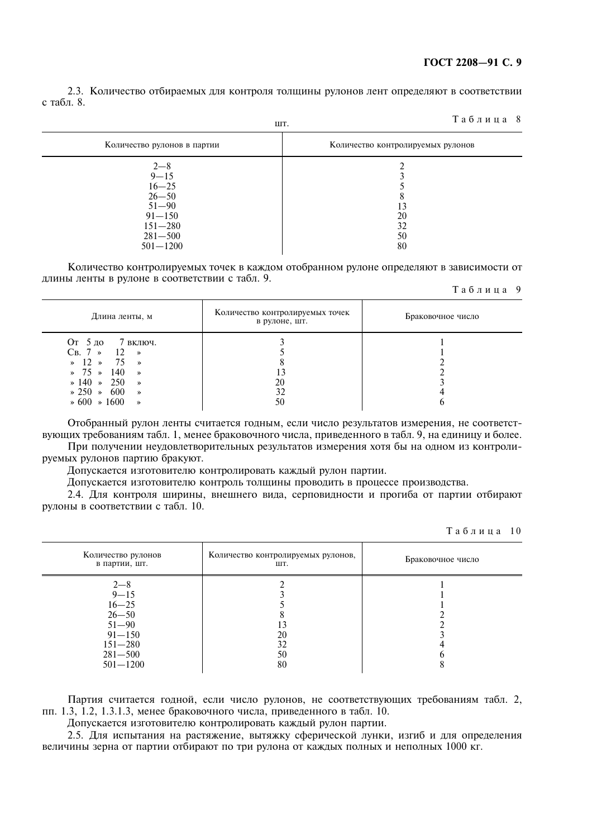2.3. Количество отбираемых для контроля толщины рулонов лент определяют в соответствии с табл. 8.

 $T a 6 \pi u \pi a 8$ 

|                                                                                                                        | шı.                               |
|------------------------------------------------------------------------------------------------------------------------|-----------------------------------|
| Количество рулонов в партии                                                                                            | Количество контролируемых рулонов |
| $2 - 8$<br>$9 - 15$<br>$16 - 25$<br>$26 - 50$<br>$51 - 90$<br>$91 - 150$<br>$151 - 280$<br>$281 - 500$<br>$501 - 1200$ | 3<br>20<br>32<br>50<br>80         |

Количество контролируемых точек в каждом отобранном рулоне определяют в зависимости от длины ленты в рулоне в соответствии с табл. 9.

#### Таблица 9

| Длина ленты, м                                                                                                                                                                                                                                    | Количество контролируемых точек<br>в рулоне, шт. | Браковочное число |
|---------------------------------------------------------------------------------------------------------------------------------------------------------------------------------------------------------------------------------------------------|--------------------------------------------------|-------------------|
| От 5 до 7 включ.<br>$CB.7 \times 12 \times$<br>$\ast$ 12 $\ast$ 75 $\ast$<br>$\frac{1}{2}$ 75 $\frac{1}{2}$ 140<br>$\rightarrow$<br>$\ast$ 140 $\ast$ 250 $\ast$<br>$\ast 250 \ast 600$<br>$\rightarrow$<br>$\ast 600 \ast 1600$<br>$\rightarrow$ | 20<br>50                                         |                   |

Отобранный рулон ленты считается годным, если число результатов измерения, не соответствующих требованиям табл. 1, менее браковочного числа, приведенного в табл. 9, на единицу и более. При получении неудовлетворительных результатов измерения хотя бы на одном из контроли-

руемых рулонов партию бракуют.

Допускается изготовителю контролировать каждый рулон партии.

Допускается изготовителю контроль толщины проводить в процессе производства.

2.4. Для контроля ширины, внешнего вида, серповидности и прогиба от партии отбирают рулоны в соответствии с табл. 10.

Таблина 10

| Количество рулонов<br>в партии, шт.                                                                                    | Количество контролируемых рулонов,<br>ШТ. | Браковочное число |
|------------------------------------------------------------------------------------------------------------------------|-------------------------------------------|-------------------|
| $2 - 8$<br>$9 - 15$<br>$16 - 25$<br>$26 - 50$<br>$51 - 90$<br>$91 - 150$<br>$151 - 280$<br>$281 - 500$<br>$501 - 1200$ | 20<br>32<br>50<br>80                      |                   |
|                                                                                                                        |                                           |                   |

Партия считается годной, если число рулонов, не соответствующих требованиям табл. 2, пп. 1.3, 1.2, 1.3.1.3, менее браковочного числа, приведенного в табл. 10.

Допускается изготовителю контролировать каждый рулон партии.

2.5. Для испытания на растяжение, вытяжку сферической лунки, изгиб и для определения величины зерна от партии отбирают по три рулона от каждых полных и неполных 1000 кг.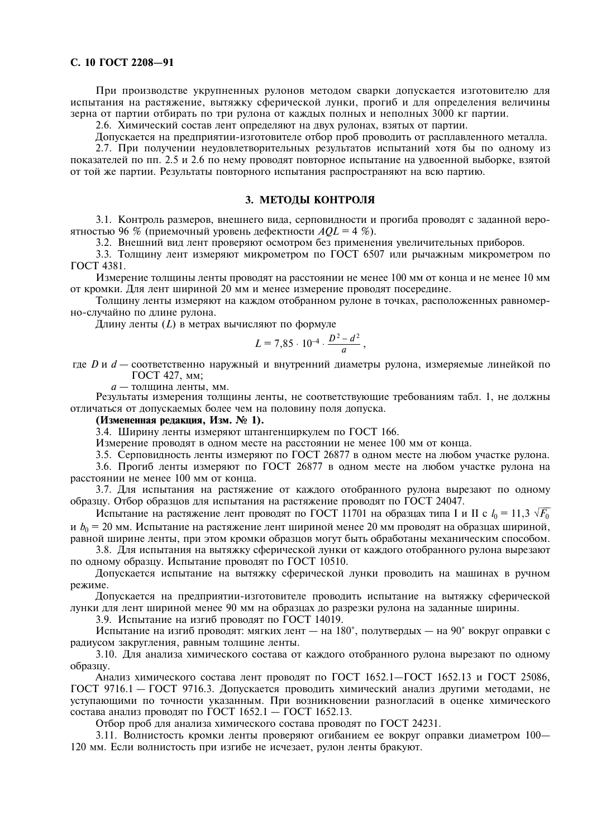#### С. 10 ГОСТ 2208-91

При производстве укрупненных рулонов методом сварки допускается изготовителю для испытания на растяжение, вытяжку сферической лунки, прогиб и для определения величины зерна от партии отбирать по три рулона от каждых полных и неполных 3000 кг партии.

2.6. Химический состав лент определяют на двух рулонах, взятых от партии.

Допускается на предприятии-изготовителе отбор проб проводить от расплавленного металла.

2.7. При получении неудовлетворительных результатов испытаний хотя бы по одному из показателей по пп. 2.5 и 2.6 по нему проводят повторное испытание на удвоенной выборке, взятой от той же партии. Результаты повторного испытания распространяют на всю партию.

#### 3. МЕТОДЫ КОНТРОЛЯ

3.1. Контроль размеров, внешнего вида, серповидности и прогиба проводят с заданной вероятностью 96 % (приемочный уровень дефектности  $AQL = 4$  %).

3.2. Внешний вид лент проверяют осмотром без применения увеличительных приборов.

3.3. Толщину лент измеряют микрометром по ГОСТ 6507 или рычажным микрометром по ГОСТ 4381.

Измерение толщины ленты проводят на расстоянии не менее 100 мм от конца и не менее 10 мм от кромки. Для лент шириной 20 мм и менее измерение проводят посередине.

Толщину ленты измеряют на каждом отобранном рулоне в точках, расположенных равномерно-случайно по длине рулона.

Длину ленты  $(L)$  в метрах вычисляют по формуле

$$
L = 7{,}85 \cdot 10^{-4} \cdot \frac{D^2 - d^2}{a}
$$

где D и d - соответственно наружный и внутренний диаметры рулона, измеряемые линейкой по ГОСТ 427, мм;

а — толщина ленты, мм.

Результаты измерения толщины ленты, не соответствующие требованиям табл. 1, не лолжны отличаться от допускаемых более чем на половину поля допуска.

#### (Измененная редакция, Изм. № 1).

3.4. Ширину ленты измеряют штангенциркулем по ГОСТ 166.

Измерение проводят в одном месте на расстоянии не менее 100 мм от конца.

3.5. Серповидность ленты измеряют по ГОСТ 26877 в одном месте на любом участке рулона.

3.6. Прогиб ленты измеряют по ГОСТ 26877 в одном месте на любом участке рулона на расстоянии не менее 100 мм от конца.

3.7. Для испытания на растяжение от каждого отобранного рулона вырезают по одному образцу. Отбор образцов для испытания на растяжение проводят по ГОСТ 24047.

Испытание на растяжение лент проводят по ГОСТ 11701 на образцах типа I и II с  $l_0 = 11, 3 \sqrt{F_0}$ и  $b_0 = 20$  мм. Испытание на растяжение лент шириной менее 20 мм проводят на образцах шириной, равной ширине ленты, при этом кромки образцов могут быть обработаны механическим способом.

3.8. Для испытания на вытяжку сферической лунки от каждого отобранного рулона вырезают по одному образцу. Испытание проводят по ГОСТ 10510.

Допускается испытание на вытяжку сферической лунки проводить на машинах в ручном режиме.

Допускается на предприятии-изготовителе проводить испытание на вытяжку сферической лунки для лент шириной менее 90 мм на образцах до разрезки рулона на заданные ширины.

3.9. Испытание на изгиб проводят по ГОСТ 14019.

Испытание на изгиб проводят: мягких лент - на 180°, полутвердых - на 90° вокруг оправки с радиусом закругления, равным толщине ленты.

3.10. Для анализа химического состава от кажлого отобранного рулона вырезают по одному образцу.

Анализ химического состава лент проводят по ГОСТ 1652.1-ГОСТ 1652.13 и ГОСТ 25086, ГОСТ 9716.1 - ГОСТ 9716.3. Допускается проводить химический анализ другими методами, не уступающими по точности указанным. При возникновении разногласий в оценке химического состава анализ проводят по ГОСТ  $1652.1 -$  ГОСТ  $1652.13$ .

Отбор проб для анализа химического состава проводят по ГОСТ 24231.

3.11. Волнистость кромки ленты проверяют огибанием ее вокруг оправки диаметром 100-120 мм. Если волнистость при изгибе не исчезает, рулон ленты бракуют.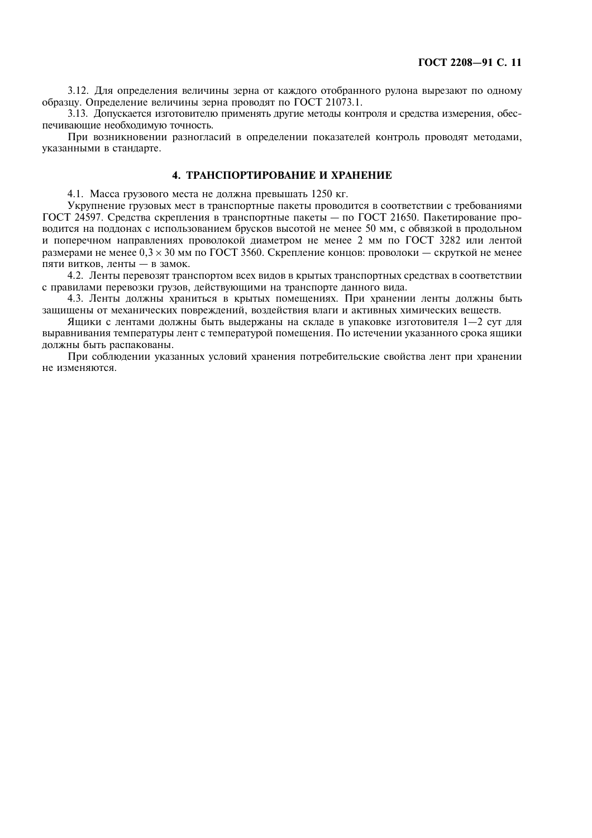3.12. Для определения величины зерна от каждого отобранного рулона вырезают по одному образцу. Определение величины зерна проводят по ГОСТ 21073.1.

3.13. Допускается изготовителю применять другие методы контроля и средства измерения, обеспечивающие необходимую точность.

При возникновении разногласий в определении показателей контроль проводят методами, указанными в стандарте.

#### 4. ТРАНСПОРТИРОВАНИЕ И ХРАНЕНИЕ

4.1. Масса грузового места не должна превышать 1250 кг.

Укрупнение грузовых мест в транспортные пакеты проводится в соответствии с требованиями ГОСТ 24597. Средства скрепления в транспортные пакеты - по ГОСТ 21650. Пакетирование проводится на поддонах с использованием брусков высотой не менее 50 мм, с обвязкой в продольном и поперечном направлениях проволокой диаметром не менее 2 мм по ГОСТ 3282 или лентой размерами не менее  $0.3 \times 30$  мм по ГОСТ 3560. Скрепление концов: проволоки — скруткой не менее пяти витков, ленты - в замок.

4.2. Ленты перевозят транспортом всех видов в крытых транспортных средствах в соответствии с правилами перевозки грузов, действующими на транспорте данного вида.

4.3. Ленты должны храниться в крытых помещениях. При хранении ленты должны быть защищены от механических повреждений, воздействия влаги и активных химических веществ.

Ящики с лентами должны быть выдержаны на складе в упаковке изготовителя 1-2 сут для выравнивания температуры лент с температурой помешения. По истечении указанного срока ящики должны быть распакованы.

При соблюдении указанных условий хранения потребительские свойства лент при хранении не изменяются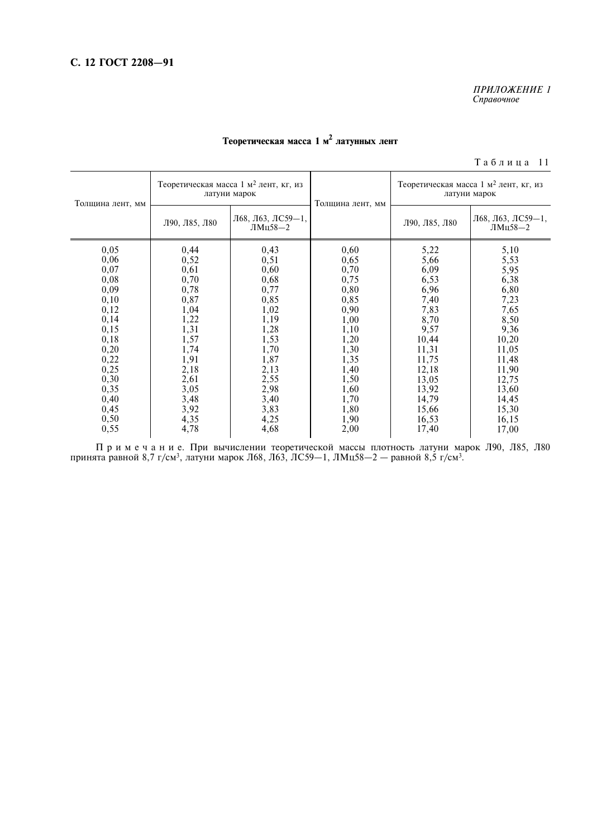# ПРИЛОЖЕНИЕ 1<br>Справочное

# Теоретическая масса 1 м<sup>2</sup> латунных лент

Таблица 11

| Л68, Л63, ЛС59-1,<br>Л90, Л85, Л80<br>Л90, Л85, Л80<br>ЛМц58—2                                                                                                                                                                                                                                                                                                                                                                                                                                                                                                                                                                                                                                                                                                                                                                                                                                                   |      | Толщина лент, мм |      | Теоретическая масса 1 м <sup>2</sup> лент, кг, из<br>латуни марок |                  | Теоретическая масса 1 м <sup>2</sup> лент, кг, из<br>латуни марок |                                 |
|------------------------------------------------------------------------------------------------------------------------------------------------------------------------------------------------------------------------------------------------------------------------------------------------------------------------------------------------------------------------------------------------------------------------------------------------------------------------------------------------------------------------------------------------------------------------------------------------------------------------------------------------------------------------------------------------------------------------------------------------------------------------------------------------------------------------------------------------------------------------------------------------------------------|------|------------------|------|-------------------------------------------------------------------|------------------|-------------------------------------------------------------------|---------------------------------|
|                                                                                                                                                                                                                                                                                                                                                                                                                                                                                                                                                                                                                                                                                                                                                                                                                                                                                                                  |      |                  |      |                                                                   | Толщина лент, мм |                                                                   | Л68, Л63, ЛС59-1,<br>ЛМц58 $-2$ |
| 0,52<br>0,65<br>0,06<br>0,51<br>5,66<br>5,53<br>0,07<br>0,61<br>0,60<br>0,70<br>6,09<br>5,95<br>0,68<br>6,38<br>0,08<br>0,70<br>0,75<br>6,53<br>0,77<br>0,09<br>0,78<br>6,96<br>6,80<br>0,80<br>0,10<br>0,87<br>0,85<br>0,85<br>7,40<br>7,23<br>0,12<br>1,04<br>1,02<br>0,90<br>7,65<br>7,83<br>0,14<br>1,22<br>1,19<br>1,00<br>8,50<br>8,70<br>1,31<br>0,15<br>1,28<br>9,36<br>1,10<br>9,57<br>0,18<br>1,57<br>1,53<br>1,20<br>10,44<br>10,20<br>0,20<br>1,74<br>1,70<br>1,30<br>11,31<br>11,05<br>0,22<br>1,91<br>1,87<br>1,35<br>11,75<br>11,48<br>0,25<br>1,40<br>2,18<br>2,13<br>12,18<br>11,90<br>0,30<br>2,61<br>2,55<br>1,50<br>12,75<br>13,05<br>2,98<br>0,35<br>3,05<br>1,60<br>13,92<br>13,60<br>0,40<br>3,48<br>3,40<br>1,70<br>14,79<br>14,45<br>0,45<br>3,92<br>3,83<br>1,80<br>15,66<br>15,30<br>0,50<br>4,35<br>4,25<br>16,15<br>1,90<br>16,53<br>4,68<br>0,55<br>4,78<br>2,00<br>17,40<br>17,00 | 0,05 |                  | 0,44 | 0,43                                                              | 0,60             | 5,22                                                              | 5,10                            |

0,55  $\begin{vmatrix} 4,78 \\ 4,68 \end{vmatrix}$  4,68  $\begin{vmatrix} 2,00 \\ 2,00 \end{vmatrix}$  17,40 17,00 17 р и м е ч а н и е. При вычислении теоретической массы плотность латуни марок Л90, Л85, Л80 принята равной 8,7 г/см<sup>3</sup>, латуни марок Л68, Л63, Л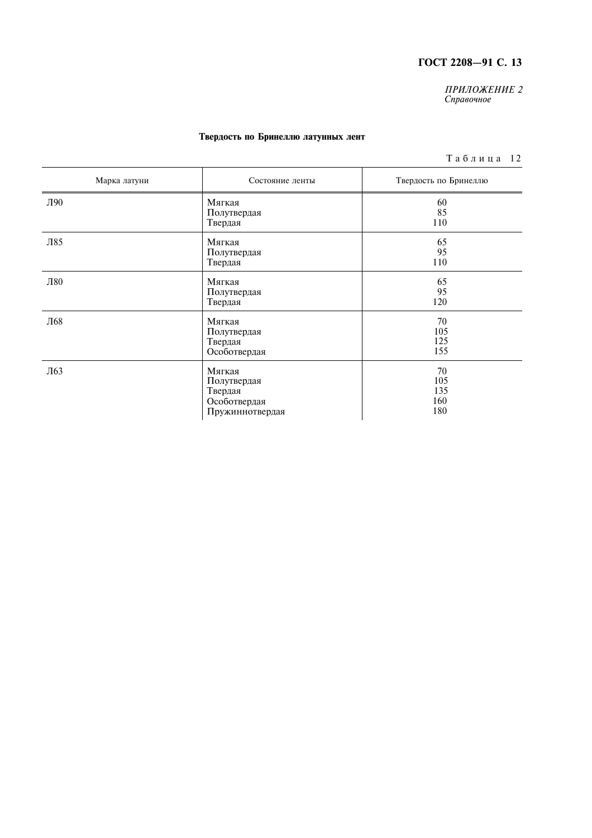ПРИЛОЖЕНИЕ 2<br>Справочное

#### Твердость по Бринеллю латунных лент

 $T$ аблица 12

| Марка латуни | Состояние ленты                                                     | Твердость по Бринеллю          |
|--------------|---------------------------------------------------------------------|--------------------------------|
| Л90          | Мягкая<br>Полутвердая<br>Твердая                                    | 60<br>85<br>110                |
| Л85          | Мягкая<br>Полутвердая<br>Твердая                                    | 65<br>95<br>110                |
| Л80          | Мягкая<br>Полутвердая<br>Твердая                                    | 65<br>95<br>120                |
| Л68          | Мягкая<br>Полутвердая<br>Твердая<br>Особотвердая                    | 70<br>105<br>125<br>155        |
| Л63          | Мягкая<br>Полутвердая<br>Твердая<br>Особотвердая<br>Пружиннотвердая | 70<br>105<br>135<br>160<br>180 |